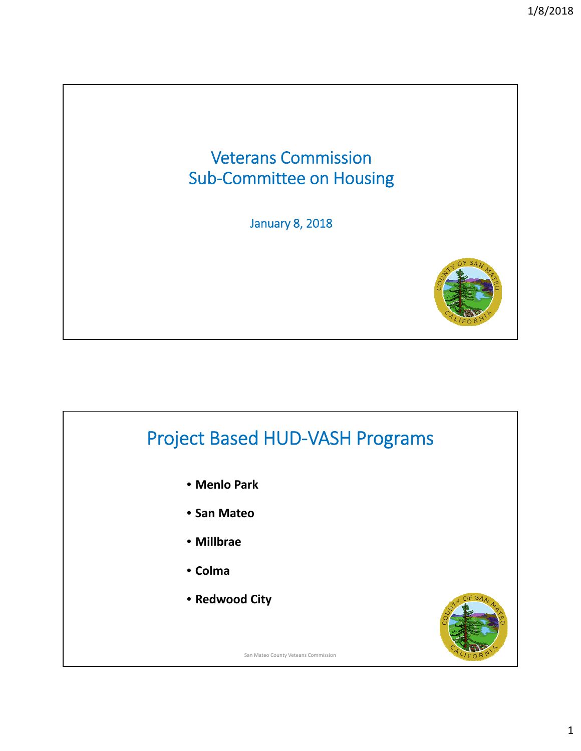## Veterans Commission Sub‐Committee on Housing

January 8, 2018



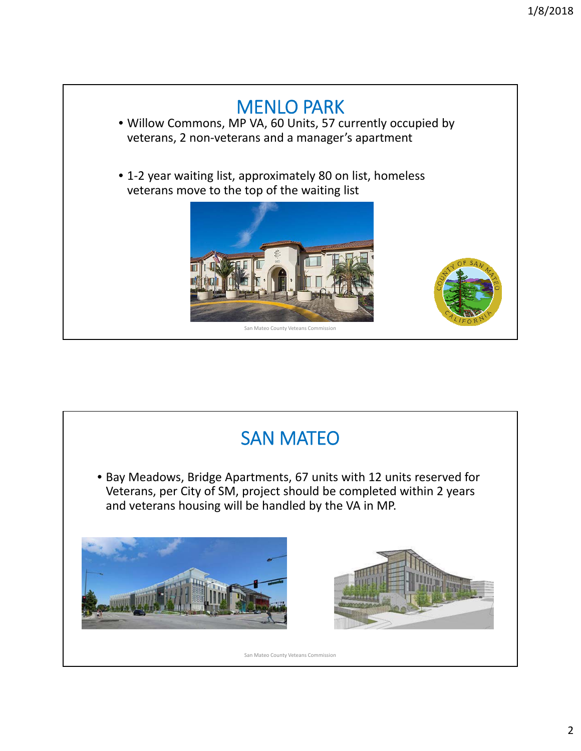

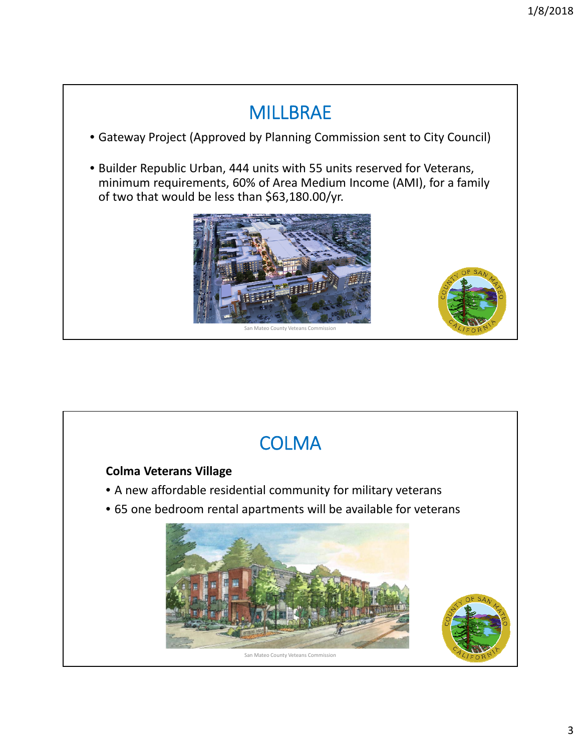

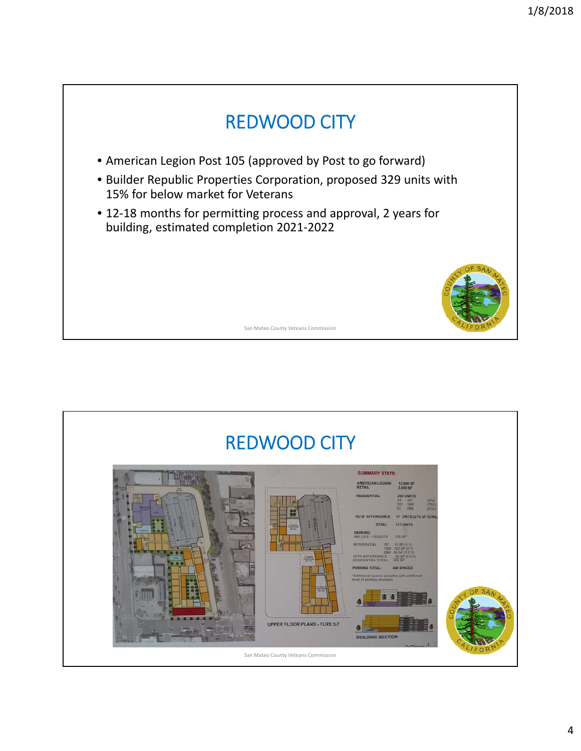

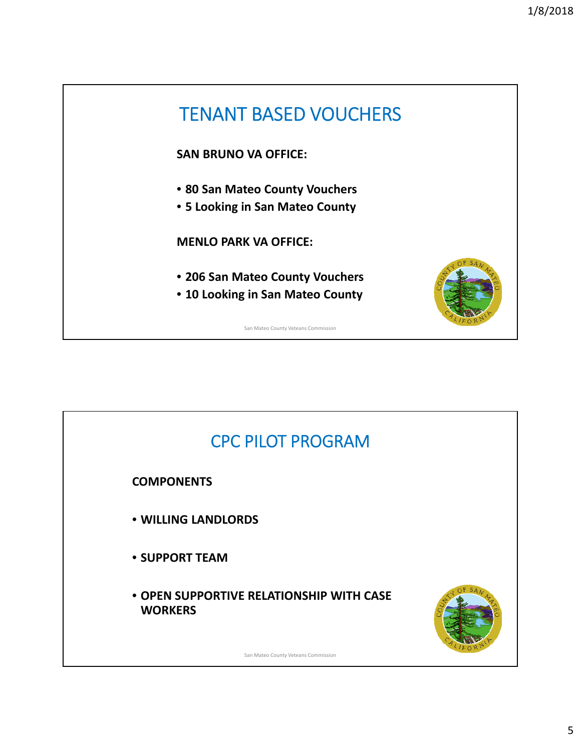



5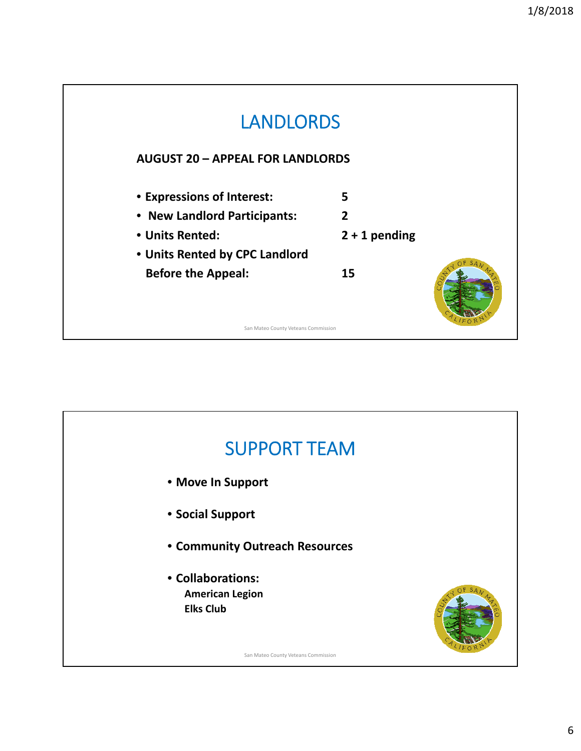

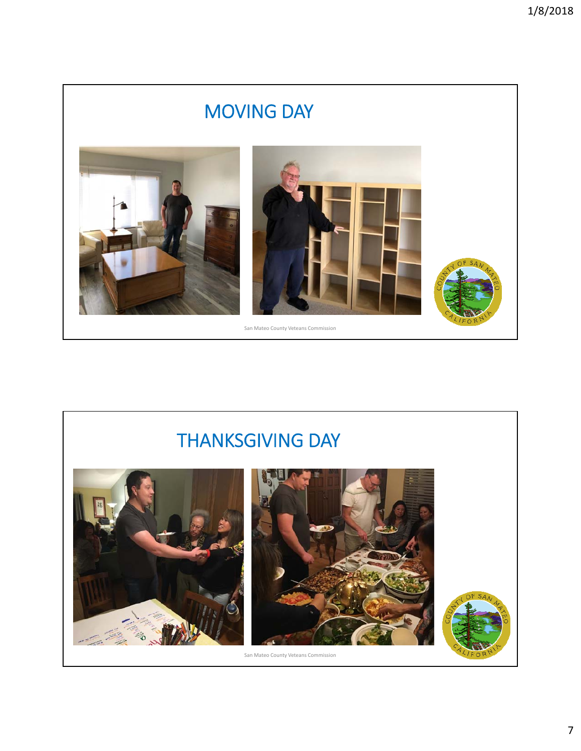